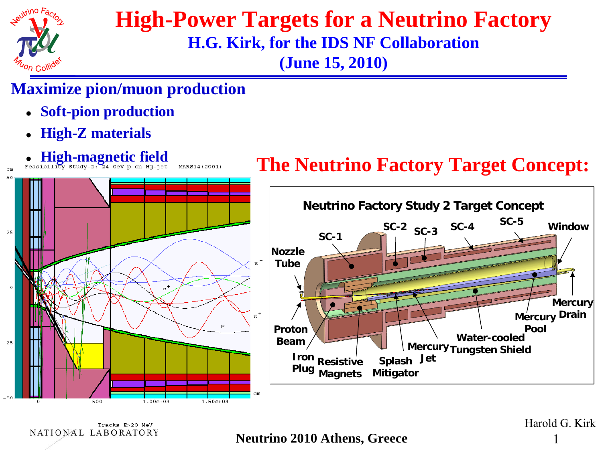

### **High-Power Targets for a Neutrino Factory H.G. Kirk, for the IDS NF Collaboration (June 15, 2010)**

### **Maximize pion/muon production**

Tracks E>20 MeV

NATIONAL LABORATORY

- **Soft-pion production**
- $\bullet$ **High-Z materials**



**Neutrino 2010 Athens, Greece** 

Harold G. Kirk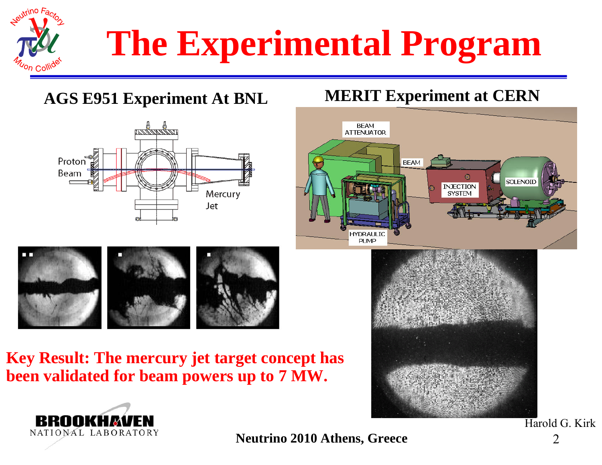

# **The Experimental Program**

**AGS E951 Experiment At BNL MERIT Experiment at CERN**







**Key Result: The mercury jet target concept has been validated for beam powers up to 7 MW.**





**Neutrino 2010 Athens, Greece** 2